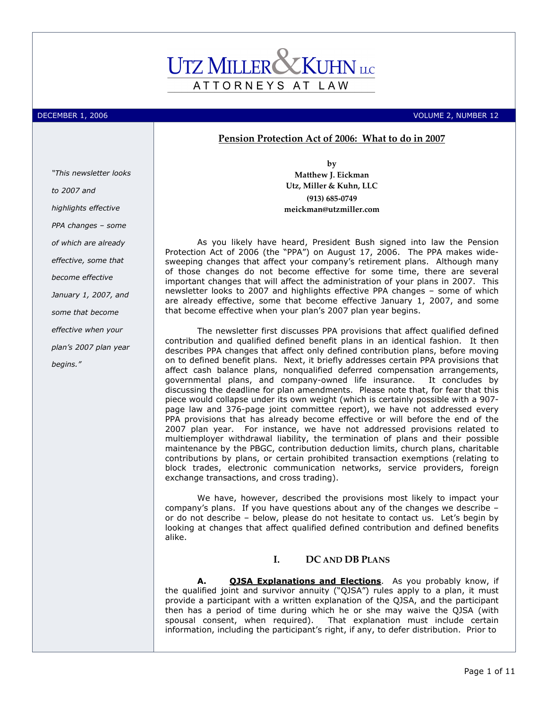# ATTORNEYS AT LAW

DECEMBER 1, 2006 VOLUME 2, NUMBER 12

# Pension Protection Act of 2006: What to do in 2007

"This newsletter looks to 2007 and highlights effective PPA changes – some of which are already effective, some that become effective January 1, 2007, and some that become effective when your plan's 2007 plan year begins."

by Matthew J. Eickman Utz, Miller & Kuhn, LLC (913) 685-0749 meickman@utzmiller.com

As you likely have heard, President Bush signed into law the Pension Protection Act of 2006 (the "PPA") on August 17, 2006. The PPA makes widesweeping changes that affect your company's retirement plans. Although many of those changes do not become effective for some time, there are several important changes that will affect the administration of your plans in 2007. This newsletter looks to 2007 and highlights effective PPA changes – some of which are already effective, some that become effective January 1, 2007, and some that become effective when your plan's 2007 plan year begins.

The newsletter first discusses PPA provisions that affect qualified defined contribution and qualified defined benefit plans in an identical fashion. It then describes PPA changes that affect only defined contribution plans, before moving on to defined benefit plans. Next, it briefly addresses certain PPA provisions that affect cash balance plans, nonqualified deferred compensation arrangements, governmental plans, and company-owned life insurance. It concludes by discussing the deadline for plan amendments. Please note that, for fear that this piece would collapse under its own weight (which is certainly possible with a 907 page law and 376-page joint committee report), we have not addressed every PPA provisions that has already become effective or will before the end of the 2007 plan year. For instance, we have not addressed provisions related to multiemployer withdrawal liability, the termination of plans and their possible maintenance by the PBGC, contribution deduction limits, church plans, charitable contributions by plans, or certain prohibited transaction exemptions (relating to block trades, electronic communication networks, service providers, foreign exchange transactions, and cross trading).

We have, however, described the provisions most likely to impact your company's plans. If you have questions about any of the changes we describe – or do not describe – below, please do not hesitate to contact us. Let's begin by looking at changes that affect qualified defined contribution and defined benefits alike.

# I. DC AND DB PLANS

A. **QJSA Explanations and Elections**. As you probably know, if the qualified joint and survivor annuity ("QJSA") rules apply to a plan, it must provide a participant with a written explanation of the QJSA, and the participant then has a period of time during which he or she may waive the QJSA (with spousal consent, when required). That explanation must include certain information, including the participant's right, if any, to defer distribution. Prior to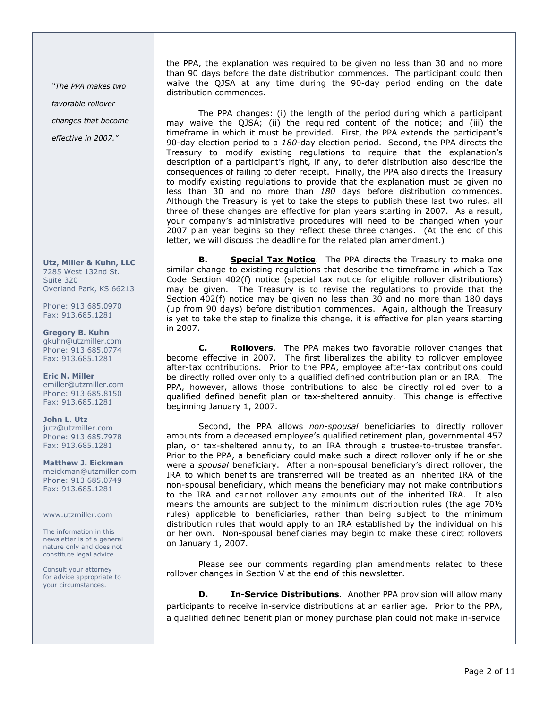"The PPA makes two

favorable rollover

changes that become

effective in 2007."

Utz, Miller & Kuhn, LLC 7285 West 132nd St. Suite 320 Overland Park, KS 66213

Phone: 913.685.0970 Fax: 913.685.1281

Gregory B. Kuhn gkuhn@utzmiller.com Phone: 913.685.0774 Fax: 913.685.1281

Eric N. Miller emiller@utzmiller.com Phone: 913.685.8150 Fax: 913.685.1281

John L. Utz jutz@utzmiller.com Phone: 913.685.7978 Fax: 913.685.1281

Matthew J. Eickman meickman@utzmiller.com Phone: 913.685.0749 Fax: 913.685.1281

www.utzmiller.com

The information in this newsletter is of a general nature only and does not constitute legal advice.

Consult your attorney for advice appropriate to your circumstances.

the PPA, the explanation was required to be given no less than 30 and no more than 90 days before the date distribution commences. The participant could then waive the QJSA at any time during the 90-day period ending on the date distribution commences.

 The PPA changes: (i) the length of the period during which a participant may waive the QJSA; (ii) the required content of the notice; and (iii) the timeframe in which it must be provided. First, the PPA extends the participant's 90-day election period to a 180-day election period. Second, the PPA directs the Treasury to modify existing regulations to require that the explanation's description of a participant's right, if any, to defer distribution also describe the consequences of failing to defer receipt. Finally, the PPA also directs the Treasury to modify existing regulations to provide that the explanation must be given no less than 30 and no more than 180 days before distribution commences. Although the Treasury is yet to take the steps to publish these last two rules, all three of these changes are effective for plan years starting in 2007. As a result, your company's administrative procedures will need to be changed when your 2007 plan year begins so they reflect these three changes. (At the end of this letter, we will discuss the deadline for the related plan amendment.)

B. Special Tax Notice. The PPA directs the Treasury to make one similar change to existing regulations that describe the timeframe in which a Tax Code Section 402(f) notice (special tax notice for eligible rollover distributions) may be given. The Treasury is to revise the regulations to provide that the Section 402(f) notice may be given no less than 30 and no more than 180 days (up from 90 days) before distribution commences. Again, although the Treasury is yet to take the step to finalize this change, it is effective for plan years starting in 2007.

C. Rollovers. The PPA makes two favorable rollover changes that become effective in 2007. The first liberalizes the ability to rollover employee after-tax contributions. Prior to the PPA, employee after-tax contributions could be directly rolled over only to a qualified defined contribution plan or an IRA. The PPA, however, allows those contributions to also be directly rolled over to a qualified defined benefit plan or tax-sheltered annuity. This change is effective beginning January 1, 2007.

Second, the PPA allows non-spousal beneficiaries to directly rollover amounts from a deceased employee's qualified retirement plan, governmental 457 plan, or tax-sheltered annuity, to an IRA through a trustee-to-trustee transfer. Prior to the PPA, a beneficiary could make such a direct rollover only if he or she were a spousal beneficiary. After a non-spousal beneficiary's direct rollover, the IRA to which benefits are transferred will be treated as an inherited IRA of the non-spousal beneficiary, which means the beneficiary may not make contributions to the IRA and cannot rollover any amounts out of the inherited IRA. It also means the amounts are subject to the minimum distribution rules (the age 70½ rules) applicable to beneficiaries, rather than being subject to the minimum distribution rules that would apply to an IRA established by the individual on his or her own. Non-spousal beneficiaries may begin to make these direct rollovers on January 1, 2007.

Please see our comments regarding plan amendments related to these rollover changes in Section V at the end of this newsletter.

**D.** In-Service Distributions. Another PPA provision will allow many participants to receive in-service distributions at an earlier age. Prior to the PPA, a qualified defined benefit plan or money purchase plan could not make in-service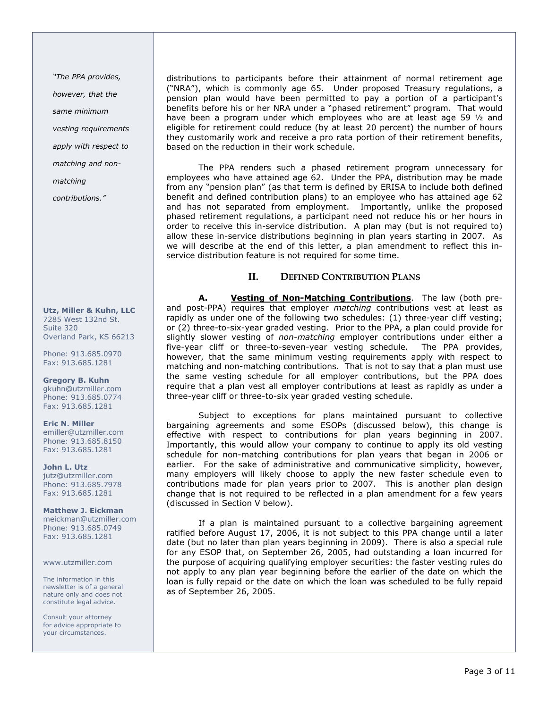"The PPA provides,

however, that the

same minimum

vesting requirements

apply with respect to

matching and non-

matching

contributions."

Utz, Miller & Kuhn, LLC 7285 West 132nd St. Suite 320 Overland Park, KS 66213

Phone: 913.685.0970 Fax: 913.685.1281

Gregory B. Kuhn gkuhn@utzmiller.com Phone: 913.685.0774 Fax: 913.685.1281

Eric N. Miller emiller@utzmiller.com Phone: 913.685.8150 Fax: 913.685.1281

John L. Utz jutz@utzmiller.com Phone: 913.685.7978 Fax: 913.685.1281

Matthew J. Eickman meickman@utzmiller.com Phone: 913.685.0749 Fax: 913.685.1281

www.utzmiller.com

The information in this newsletter is of a general nature only and does not constitute legal advice.

Consult your attorney for advice appropriate to your circumstances.

distributions to participants before their attainment of normal retirement age ("NRA"), which is commonly age 65. Under proposed Treasury regulations, a pension plan would have been permitted to pay a portion of a participant's benefits before his or her NRA under a "phased retirement" program. That would have been a program under which employees who are at least age 59 ½ and eligible for retirement could reduce (by at least 20 percent) the number of hours they customarily work and receive a pro rata portion of their retirement benefits, based on the reduction in their work schedule.

 The PPA renders such a phased retirement program unnecessary for employees who have attained age 62. Under the PPA, distribution may be made from any "pension plan" (as that term is defined by ERISA to include both defined benefit and defined contribution plans) to an employee who has attained age 62 and has not separated from employment. Importantly, unlike the proposed phased retirement regulations, a participant need not reduce his or her hours in order to receive this in-service distribution. A plan may (but is not required to) allow these in-service distributions beginning in plan years starting in 2007. As we will describe at the end of this letter, a plan amendment to reflect this inservice distribution feature is not required for some time.

# II. DEFINED CONTRIBUTION PLANS

A. Vesting of Non-Matching Contributions. The law (both preand post-PPA) requires that employer matching contributions vest at least as rapidly as under one of the following two schedules: (1) three-year cliff vesting; or (2) three-to-six-year graded vesting. Prior to the PPA, a plan could provide for slightly slower vesting of *non-matching* employer contributions under either a five-year cliff or three-to-seven-year vesting schedule. The PPA provides, however, that the same minimum vesting requirements apply with respect to matching and non-matching contributions. That is not to say that a plan must use the same vesting schedule for all employer contributions, but the PPA does require that a plan vest all employer contributions at least as rapidly as under a three-year cliff or three-to-six year graded vesting schedule.

 Subject to exceptions for plans maintained pursuant to collective bargaining agreements and some ESOPs (discussed below), this change is effective with respect to contributions for plan years beginning in 2007. Importantly, this would allow your company to continue to apply its old vesting schedule for non-matching contributions for plan years that began in 2006 or earlier. For the sake of administrative and communicative simplicity, however, many employers will likely choose to apply the new faster schedule even to contributions made for plan years prior to 2007. This is another plan design change that is not required to be reflected in a plan amendment for a few years (discussed in Section V below).

If a plan is maintained pursuant to a collective bargaining agreement ratified before August 17, 2006, it is not subject to this PPA change until a later date (but no later than plan years beginning in 2009). There is also a special rule for any ESOP that, on September 26, 2005, had outstanding a loan incurred for the purpose of acquiring qualifying employer securities: the faster vesting rules do not apply to any plan year beginning before the earlier of the date on which the loan is fully repaid or the date on which the loan was scheduled to be fully repaid as of September 26, 2005.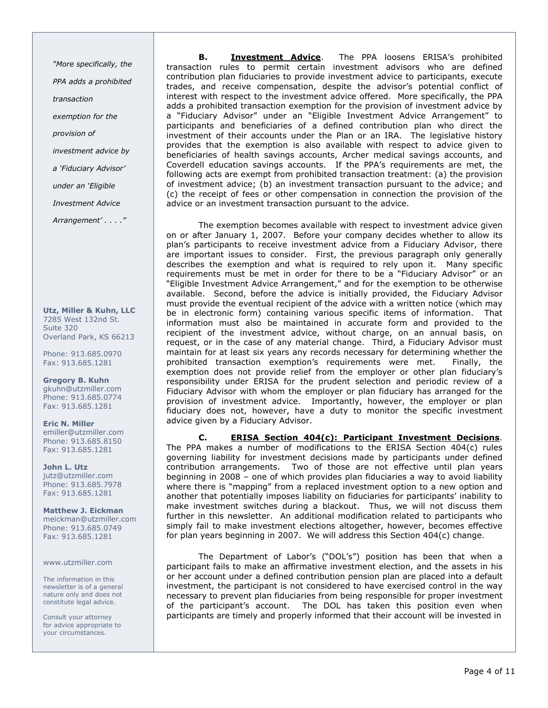"More specifically, the PPA adds a prohibited transaction exemption for the provision of investment advice by a 'Fiduciary Advisor' under an 'Eligible Investment Advice Arrangement' . . . . "

Utz, Miller & Kuhn, LLC 7285 West 132nd St. Suite 320 Overland Park, KS 66213

Phone: 913.685.0970 Fax: 913.685.1281

Gregory B. Kuhn gkuhn@utzmiller.com Phone: 913.685.0774 Fax: 913.685.1281

Eric N. Miller emiller@utzmiller.com Phone: 913.685.8150 Fax: 913.685.1281

John L. Utz jutz@utzmiller.com Phone: 913.685.7978 Fax: 913.685.1281

Matthew J. Eickman meickman@utzmiller.com Phone: 913.685.0749 Fax: 913.685.1281

#### www.utzmiller.com

The information in this newsletter is of a general nature only and does not constitute legal advice.

Consult your attorney for advice appropriate to your circumstances.

**B.** Investment Advice. The PPA loosens ERISA's prohibited transaction rules to permit certain investment advisors who are defined contribution plan fiduciaries to provide investment advice to participants, execute trades, and receive compensation, despite the advisor's potential conflict of interest with respect to the investment advice offered. More specifically, the PPA adds a prohibited transaction exemption for the provision of investment advice by a "Fiduciary Advisor" under an "Eligible Investment Advice Arrangement" to participants and beneficiaries of a defined contribution plan who direct the investment of their accounts under the Plan or an IRA. The legislative history provides that the exemption is also available with respect to advice given to beneficiaries of health savings accounts, Archer medical savings accounts, and Coverdell education savings accounts. If the PPA's requirements are met, the following acts are exempt from prohibited transaction treatment: (a) the provision of investment advice; (b) an investment transaction pursuant to the advice; and (c) the receipt of fees or other compensation in connection the provision of the advice or an investment transaction pursuant to the advice.

 The exemption becomes available with respect to investment advice given on or after January 1, 2007. Before your company decides whether to allow its plan's participants to receive investment advice from a Fiduciary Advisor, there are important issues to consider. First, the previous paragraph only generally describes the exemption and what is required to rely upon it. Many specific requirements must be met in order for there to be a "Fiduciary Advisor" or an "Eligible Investment Advice Arrangement," and for the exemption to be otherwise available. Second, before the advice is initially provided, the Fiduciary Advisor must provide the eventual recipient of the advice with a written notice (which may be in electronic form) containing various specific items of information. That information must also be maintained in accurate form and provided to the recipient of the investment advice, without charge, on an annual basis, on request, or in the case of any material change. Third, a Fiduciary Advisor must maintain for at least six years any records necessary for determining whether the prohibited transaction exemption's requirements were met. Finally, the exemption does not provide relief from the employer or other plan fiduciary's responsibility under ERISA for the prudent selection and periodic review of a Fiduciary Advisor with whom the employer or plan fiduciary has arranged for the provision of investment advice. Importantly, however, the employer or plan fiduciary does not, however, have a duty to monitor the specific investment advice given by a Fiduciary Advisor.

C. ERISA Section 404(c): Participant Investment Decisions. The PPA makes a number of modifications to the ERISA Section 404(c) rules governing liability for investment decisions made by participants under defined contribution arrangements. Two of those are not effective until plan years beginning in 2008 – one of which provides plan fiduciaries a way to avoid liability where there is "mapping" from a replaced investment option to a new option and another that potentially imposes liability on fiduciaries for participants' inability to make investment switches during a blackout. Thus, we will not discuss them further in this newsletter. An additional modification related to participants who simply fail to make investment elections altogether, however, becomes effective for plan years beginning in 2007. We will address this Section 404(c) change.

 The Department of Labor's ("DOL's") position has been that when a participant fails to make an affirmative investment election, and the assets in his or her account under a defined contribution pension plan are placed into a default investment, the participant is not considered to have exercised control in the way necessary to prevent plan fiduciaries from being responsible for proper investment of the participant's account. The DOL has taken this position even when participants are timely and properly informed that their account will be invested in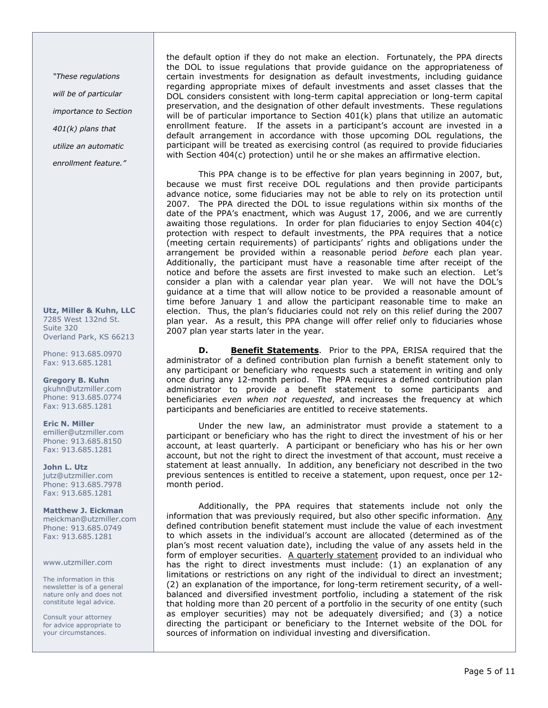"These regulations will be of particular importance to Section 401(k) plans that utilize an automatic enrollment feature."

Utz, Miller & Kuhn, LLC 7285 West 132nd St. Suite 320 Overland Park, KS 66213

Phone: 913.685.0970 Fax: 913.685.1281

Gregory B. Kuhn gkuhn@utzmiller.com Phone: 913.685.0774 Fax: 913.685.1281

Eric N. Miller emiller@utzmiller.com Phone: 913.685.8150 Fax: 913.685.1281

John L. Utz jutz@utzmiller.com Phone: 913.685.7978 Fax: 913.685.1281

Matthew J. Eickman meickman@utzmiller.com Phone: 913.685.0749 Fax: 913.685.1281

www.utzmiller.com

The information in this newsletter is of a general nature only and does not constitute legal advice.

Consult your attorney for advice appropriate to your circumstances.

the default option if they do not make an election. Fortunately, the PPA directs the DOL to issue regulations that provide guidance on the appropriateness of certain investments for designation as default investments, including guidance regarding appropriate mixes of default investments and asset classes that the DOL considers consistent with long-term capital appreciation or long-term capital preservation, and the designation of other default investments. These regulations will be of particular importance to Section 401(k) plans that utilize an automatic enrollment feature. If the assets in a participant's account are invested in a default arrangement in accordance with those upcoming DOL regulations, the participant will be treated as exercising control (as required to provide fiduciaries with Section 404(c) protection) until he or she makes an affirmative election.

 This PPA change is to be effective for plan years beginning in 2007, but, because we must first receive DOL regulations and then provide participants advance notice, some fiduciaries may not be able to rely on its protection until 2007. The PPA directed the DOL to issue regulations within six months of the date of the PPA's enactment, which was August 17, 2006, and we are currently awaiting those regulations. In order for plan fiduciaries to enjoy Section 404(c) protection with respect to default investments, the PPA requires that a notice (meeting certain requirements) of participants' rights and obligations under the arrangement be provided within a reasonable period before each plan year. Additionally, the participant must have a reasonable time after receipt of the notice and before the assets are first invested to make such an election. Let's consider a plan with a calendar year plan year. We will not have the DOL's guidance at a time that will allow notice to be provided a reasonable amount of time before January 1 and allow the participant reasonable time to make an election. Thus, the plan's fiduciaries could not rely on this relief during the 2007 plan year. As a result, this PPA change will offer relief only to fiduciaries whose 2007 plan year starts later in the year.

D. Benefit Statements. Prior to the PPA, ERISA required that the administrator of a defined contribution plan furnish a benefit statement only to any participant or beneficiary who requests such a statement in writing and only once during any 12-month period. The PPA requires a defined contribution plan administrator to provide a benefit statement to some participants and beneficiaries even when not requested, and increases the frequency at which participants and beneficiaries are entitled to receive statements.

Under the new law, an administrator must provide a statement to a participant or beneficiary who has the right to direct the investment of his or her account, at least quarterly. A participant or beneficiary who has his or her own account, but not the right to direct the investment of that account, must receive a statement at least annually. In addition, any beneficiary not described in the two previous sentences is entitled to receive a statement, upon request, once per 12 month period.

 Additionally, the PPA requires that statements include not only the information that was previously required, but also other specific information. Any defined contribution benefit statement must include the value of each investment to which assets in the individual's account are allocated (determined as of the plan's most recent valuation date), including the value of any assets held in the form of employer securities.  $A$  quarterly statement provided to an individual who has the right to direct investments must include: (1) an explanation of any limitations or restrictions on any right of the individual to direct an investment; (2) an explanation of the importance, for long-term retirement security, of a wellbalanced and diversified investment portfolio, including a statement of the risk that holding more than 20 percent of a portfolio in the security of one entity (such as employer securities) may not be adequately diversified; and (3) a notice directing the participant or beneficiary to the Internet website of the DOL for sources of information on individual investing and diversification.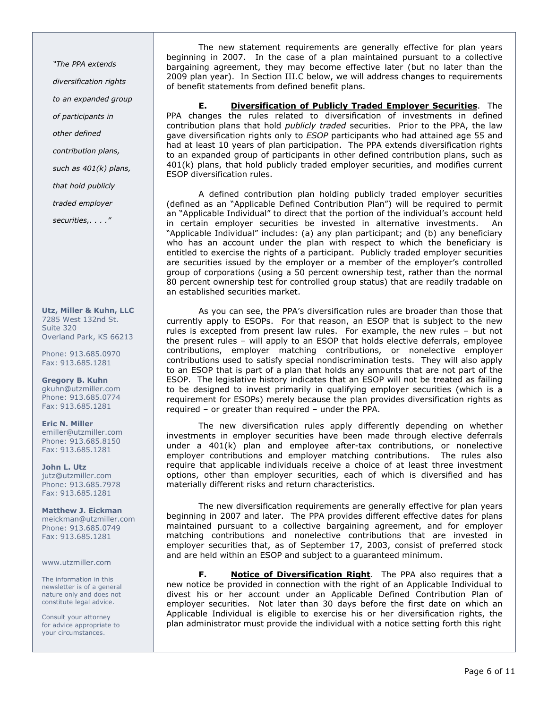"The PPA extends diversification rights to an expanded group of participants in other defined contribution plans, such as 401(k) plans, that hold publicly traded employer

securities,. . . ."

Utz, Miller & Kuhn, LLC 7285 West 132nd St. Suite 320 Overland Park, KS 66213

Phone: 913.685.0970 Fax: 913.685.1281

Gregory B. Kuhn gkuhn@utzmiller.com Phone: 913.685.0774 Fax: 913.685.1281

Eric N. Miller emiller@utzmiller.com Phone: 913.685.8150 Fax: 913.685.1281

John L. Utz jutz@utzmiller.com Phone: 913.685.7978 Fax: 913.685.1281

Matthew J. Eickman meickman@utzmiller.com Phone: 913.685.0749 Fax: 913.685.1281

www.utzmiller.com

The information in this newsletter is of a general nature only and does not constitute legal advice.

Consult your attorney for advice appropriate to your circumstances.

 The new statement requirements are generally effective for plan years beginning in 2007. In the case of a plan maintained pursuant to a collective bargaining agreement, they may become effective later (but no later than the 2009 plan year). In Section III.C below, we will address changes to requirements of benefit statements from defined benefit plans.

**E.** Diversification of Publicly Traded Employer Securities. The PPA changes the rules related to diversification of investments in defined contribution plans that hold *publicly traded* securities. Prior to the PPA, the law gave diversification rights only to ESOP participants who had attained age 55 and had at least 10 years of plan participation. The PPA extends diversification rights to an expanded group of participants in other defined contribution plans, such as 401(k) plans, that hold publicly traded employer securities, and modifies current ESOP diversification rules.

 A defined contribution plan holding publicly traded employer securities (defined as an "Applicable Defined Contribution Plan") will be required to permit an "Applicable Individual" to direct that the portion of the individual's account held in certain employer securities be invested in alternative investments. An "Applicable Individual" includes: (a) any plan participant; and (b) any beneficiary who has an account under the plan with respect to which the beneficiary is entitled to exercise the rights of a participant. Publicly traded employer securities are securities issued by the employer or a member of the employer's controlled group of corporations (using a 50 percent ownership test, rather than the normal 80 percent ownership test for controlled group status) that are readily tradable on an established securities market.

As you can see, the PPA's diversification rules are broader than those that currently apply to ESOPs. For that reason, an ESOP that is subject to the new rules is excepted from present law rules. For example, the new rules – but not the present rules – will apply to an ESOP that holds elective deferrals, employee contributions, employer matching contributions, or nonelective employer contributions used to satisfy special nondiscrimination tests. They will also apply to an ESOP that is part of a plan that holds any amounts that are not part of the ESOP. The legislative history indicates that an ESOP will not be treated as failing to be designed to invest primarily in qualifying employer securities (which is a requirement for ESOPs) merely because the plan provides diversification rights as required – or greater than required – under the PPA.

The new diversification rules apply differently depending on whether investments in employer securities have been made through elective deferrals under a 401(k) plan and employee after-tax contributions, or nonelective employer contributions and employer matching contributions. The rules also require that applicable individuals receive a choice of at least three investment options, other than employer securities, each of which is diversified and has materially different risks and return characteristics.

 The new diversification requirements are generally effective for plan years beginning in 2007 and later. The PPA provides different effective dates for plans maintained pursuant to a collective bargaining agreement, and for employer matching contributions and nonelective contributions that are invested in employer securities that, as of September 17, 2003, consist of preferred stock and are held within an ESOP and subject to a guaranteed minimum.

F. Notice of Diversification Right. The PPA also requires that a new notice be provided in connection with the right of an Applicable Individual to divest his or her account under an Applicable Defined Contribution Plan of employer securities. Not later than 30 days before the first date on which an Applicable Individual is eligible to exercise his or her diversification rights, the plan administrator must provide the individual with a notice setting forth this right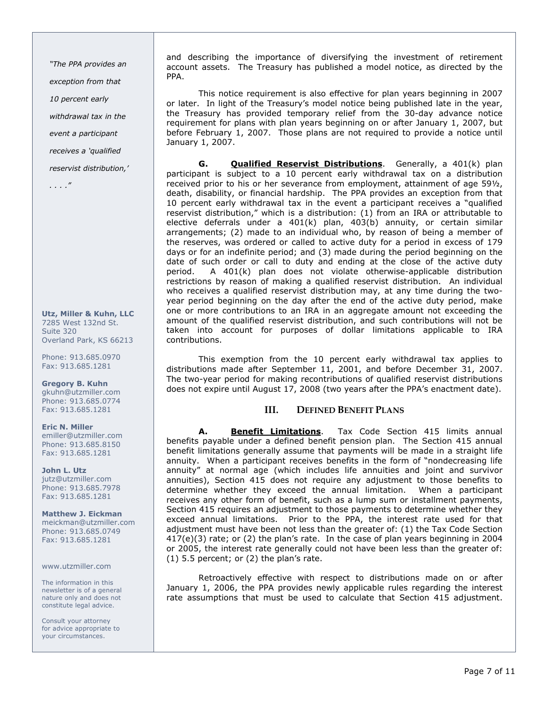"The PPA provides an exception from that 10 percent early withdrawal tax in the event a participant receives a 'qualified

reservist distribution,'

. . . ."

Utz, Miller & Kuhn, LLC 7285 West 132nd St. Suite 320 Overland Park, KS 66213

Phone: 913.685.0970 Fax: 913.685.1281

Gregory B. Kuhn gkuhn@utzmiller.com Phone: 913.685.0774 Fax: 913.685.1281

# Eric N. Miller

emiller@utzmiller.com Phone: 913.685.8150 Fax: 913.685.1281

John L. Utz jutz@utzmiller.com Phone: 913.685.7978 Fax: 913.685.1281

Matthew J. Eickman meickman@utzmiller.com Phone: 913.685.0749 Fax: 913.685.1281

www.utzmiller.com

The information in this newsletter is of a general nature only and does not constitute legal advice.

Consult your attorney for advice appropriate to your circumstances.

and describing the importance of diversifying the investment of retirement account assets. The Treasury has published a model notice, as directed by the PPA.

 This notice requirement is also effective for plan years beginning in 2007 or later. In light of the Treasury's model notice being published late in the year, the Treasury has provided temporary relief from the 30-day advance notice requirement for plans with plan years beginning on or after January 1, 2007, but before February 1, 2007. Those plans are not required to provide a notice until January 1, 2007.

G. **Qualified Reservist Distributions**. Generally, a 401(k) plan participant is subject to a 10 percent early withdrawal tax on a distribution received prior to his or her severance from employment, attainment of age 59½, death, disability, or financial hardship. The PPA provides an exception from that 10 percent early withdrawal tax in the event a participant receives a "qualified reservist distribution," which is a distribution: (1) from an IRA or attributable to elective deferrals under a  $401(k)$  plan,  $403(b)$  annuity, or certain similar arrangements; (2) made to an individual who, by reason of being a member of the reserves, was ordered or called to active duty for a period in excess of 179 days or for an indefinite period; and (3) made during the period beginning on the date of such order or call to duty and ending at the close of the active duty period. A 401(k) plan does not violate otherwise-applicable distribution restrictions by reason of making a qualified reservist distribution. An individual who receives a qualified reservist distribution may, at any time during the twoyear period beginning on the day after the end of the active duty period, make one or more contributions to an IRA in an aggregate amount not exceeding the amount of the qualified reservist distribution, and such contributions will not be taken into account for purposes of dollar limitations applicable to IRA contributions.

 This exemption from the 10 percent early withdrawal tax applies to distributions made after September 11, 2001, and before December 31, 2007. The two-year period for making recontributions of qualified reservist distributions does not expire until August 17, 2008 (two years after the PPA's enactment date).

## III. DEFINED BENEFIT PLANS

A. Benefit Limitations. Tax Code Section 415 limits annual benefits payable under a defined benefit pension plan. The Section 415 annual benefit limitations generally assume that payments will be made in a straight life annuity. When a participant receives benefits in the form of "nondecreasing life annuity" at normal age (which includes life annuities and joint and survivor annuities), Section 415 does not require any adjustment to those benefits to determine whether they exceed the annual limitation. When a participant receives any other form of benefit, such as a lump sum or installment payments, Section 415 requires an adjustment to those payments to determine whether they exceed annual limitations. Prior to the PPA, the interest rate used for that adjustment must have been not less than the greater of: (1) the Tax Code Section 417(e)(3) rate; or (2) the plan's rate. In the case of plan years beginning in 2004 or 2005, the interest rate generally could not have been less than the greater of: (1) 5.5 percent; or (2) the plan's rate.

 Retroactively effective with respect to distributions made on or after January 1, 2006, the PPA provides newly applicable rules regarding the interest rate assumptions that must be used to calculate that Section 415 adjustment.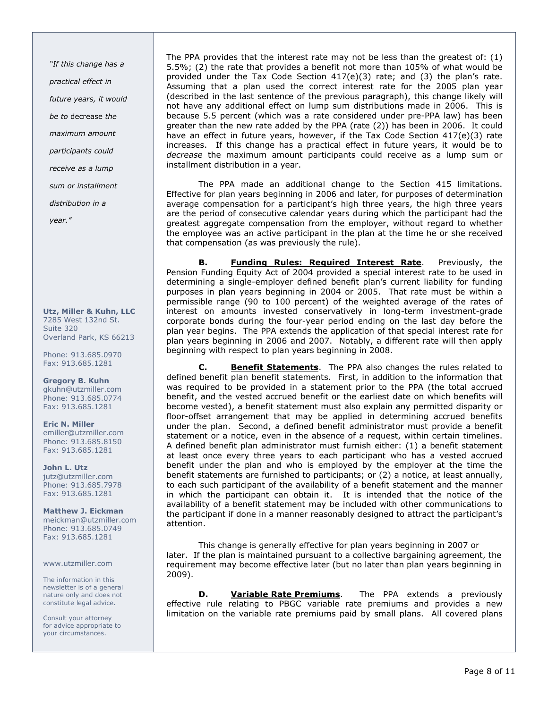"If this change has a practical effect in future years, it would be to decrease the maximum amount participants could receive as a lump sum or installment distribution in a year."

Utz, Miller & Kuhn, LLC 7285 West 132nd St. Suite 320 Overland Park, KS 66213

Phone: 913.685.0970 Fax: 913.685.1281

Gregory B. Kuhn gkuhn@utzmiller.com Phone: 913.685.0774 Fax: 913.685.1281

Eric N. Miller emiller@utzmiller.com Phone: 913.685.8150 Fax: 913.685.1281

John L. Utz jutz@utzmiller.com Phone: 913.685.7978 Fax: 913.685.1281

Matthew J. Eickman meickman@utzmiller.com Phone: 913.685.0749 Fax: 913.685.1281

#### www.utzmiller.com

The information in this newsletter is of a general nature only and does not constitute legal advice.

Consult your attorney for advice appropriate to your circumstances.

The PPA provides that the interest rate may not be less than the greatest of: (1) 5.5%; (2) the rate that provides a benefit not more than 105% of what would be provided under the Tax Code Section  $417(e)(3)$  rate; and  $(3)$  the plan's rate. Assuming that a plan used the correct interest rate for the 2005 plan year (described in the last sentence of the previous paragraph), this change likely will not have any additional effect on lump sum distributions made in 2006. This is because 5.5 percent (which was a rate considered under pre-PPA law) has been greater than the new rate added by the PPA (rate (2)) has been in 2006. It could have an effect in future years, however, if the Tax Code Section 417(e)(3) rate increases. If this change has a practical effect in future years, it would be to decrease the maximum amount participants could receive as a lump sum or installment distribution in a year.

 The PPA made an additional change to the Section 415 limitations. Effective for plan years beginning in 2006 and later, for purposes of determination average compensation for a participant's high three years, the high three years are the period of consecutive calendar years during which the participant had the greatest aggregate compensation from the employer, without regard to whether the employee was an active participant in the plan at the time he or she received that compensation (as was previously the rule).

B. Funding Rules: Required Interest Rate. Previously, the Pension Funding Equity Act of 2004 provided a special interest rate to be used in determining a single-employer defined benefit plan's current liability for funding purposes in plan years beginning in 2004 or 2005. That rate must be within a permissible range (90 to 100 percent) of the weighted average of the rates of interest on amounts invested conservatively in long-term investment-grade corporate bonds during the four-year period ending on the last day before the plan year begins. The PPA extends the application of that special interest rate for plan years beginning in 2006 and 2007. Notably, a different rate will then apply beginning with respect to plan years beginning in 2008.

C. Benefit Statements. The PPA also changes the rules related to defined benefit plan benefit statements. First, in addition to the information that was required to be provided in a statement prior to the PPA (the total accrued benefit, and the vested accrued benefit or the earliest date on which benefits will become vested), a benefit statement must also explain any permitted disparity or floor-offset arrangement that may be applied in determining accrued benefits under the plan. Second, a defined benefit administrator must provide a benefit statement or a notice, even in the absence of a request, within certain timelines. A defined benefit plan administrator must furnish either: (1) a benefit statement at least once every three years to each participant who has a vested accrued benefit under the plan and who is employed by the employer at the time the benefit statements are furnished to participants; or (2) a notice, at least annually, to each such participant of the availability of a benefit statement and the manner in which the participant can obtain it. It is intended that the notice of the availability of a benefit statement may be included with other communications to the participant if done in a manner reasonably designed to attract the participant's attention.

 This change is generally effective for plan years beginning in 2007 or later. If the plan is maintained pursuant to a collective bargaining agreement, the requirement may become effective later (but no later than plan years beginning in 2009).

**D.** Variable Rate Premiums. The PPA extends a previously effective rule relating to PBGC variable rate premiums and provides a new limitation on the variable rate premiums paid by small plans. All covered plans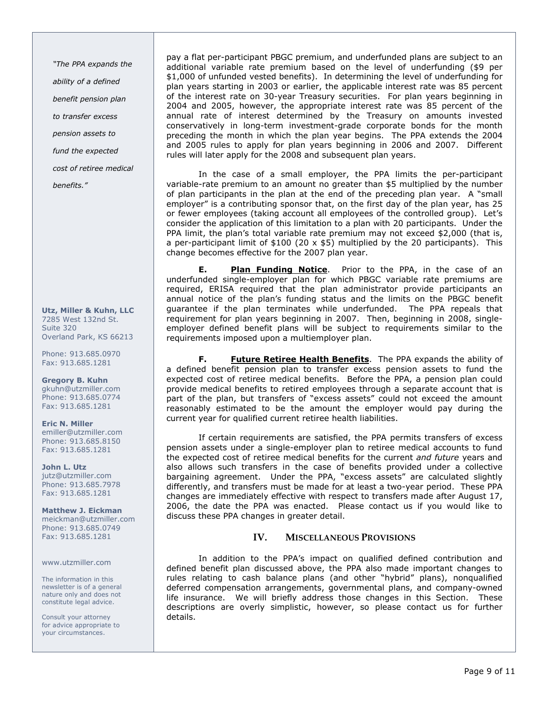"The PPA expands the ability of a defined benefit pension plan to transfer excess pension assets to fund the expected cost of retiree medical

benefits."

Utz, Miller & Kuhn, LLC 7285 West 132nd St. Suite 320 Overland Park, KS 66213

Phone: 913.685.0970 Fax: 913.685.1281

Gregory B. Kuhn gkuhn@utzmiller.com Phone: 913.685.0774 Fax: 913.685.1281

Eric N. Miller emiller@utzmiller.com Phone: 913.685.8150 Fax: 913.685.1281

John L. Utz jutz@utzmiller.com Phone: 913.685.7978 Fax: 913.685.1281

Matthew J. Eickman meickman@utzmiller.com Phone: 913.685.0749 Fax: 913.685.1281

www.utzmiller.com

The information in this newsletter is of a general nature only and does not constitute legal advice.

Consult your attorney for advice appropriate to your circumstances.

pay a flat per-participant PBGC premium, and underfunded plans are subject to an additional variable rate premium based on the level of underfunding (\$9 per \$1,000 of unfunded vested benefits). In determining the level of underfunding for plan years starting in 2003 or earlier, the applicable interest rate was 85 percent of the interest rate on 30-year Treasury securities. For plan years beginning in 2004 and 2005, however, the appropriate interest rate was 85 percent of the annual rate of interest determined by the Treasury on amounts invested conservatively in long-term investment-grade corporate bonds for the month preceding the month in which the plan year begins. The PPA extends the 2004 and 2005 rules to apply for plan years beginning in 2006 and 2007. Different rules will later apply for the 2008 and subsequent plan years.

 In the case of a small employer, the PPA limits the per-participant variable-rate premium to an amount no greater than \$5 multiplied by the number of plan participants in the plan at the end of the preceding plan year. A "small employer" is a contributing sponsor that, on the first day of the plan year, has 25 or fewer employees (taking account all employees of the controlled group). Let's consider the application of this limitation to a plan with 20 participants. Under the PPA limit, the plan's total variable rate premium may not exceed \$2,000 (that is, a per-participant limit of  $$100$  (20 x  $$5$ ) multiplied by the 20 participants). This change becomes effective for the 2007 plan year.

E. Plan Funding Notice. Prior to the PPA, in the case of an underfunded single-employer plan for which PBGC variable rate premiums are required, ERISA required that the plan administrator provide participants an annual notice of the plan's funding status and the limits on the PBGC benefit guarantee if the plan terminates while underfunded. The PPA repeals that requirement for plan years beginning in 2007. Then, beginning in 2008, singleemployer defined benefit plans will be subject to requirements similar to the requirements imposed upon a multiemployer plan.

F. Future Retiree Health Benefits. The PPA expands the ability of a defined benefit pension plan to transfer excess pension assets to fund the expected cost of retiree medical benefits. Before the PPA, a pension plan could provide medical benefits to retired employees through a separate account that is part of the plan, but transfers of "excess assets" could not exceed the amount reasonably estimated to be the amount the employer would pay during the current year for qualified current retiree health liabilities.

 If certain requirements are satisfied, the PPA permits transfers of excess pension assets under a single-employer plan to retiree medical accounts to fund the expected cost of retiree medical benefits for the current and future years and also allows such transfers in the case of benefits provided under a collective bargaining agreement. Under the PPA, "excess assets" are calculated slightly differently, and transfers must be made for at least a two-year period. These PPA changes are immediately effective with respect to transfers made after August 17, 2006, the date the PPA was enacted. Please contact us if you would like to discuss these PPA changes in greater detail.

# IV. MISCELLANEOUS PROVISIONS

 In addition to the PPA's impact on qualified defined contribution and defined benefit plan discussed above, the PPA also made important changes to rules relating to cash balance plans (and other "hybrid" plans), nonqualified deferred compensation arrangements, governmental plans, and company-owned life insurance. We will briefly address those changes in this Section. These descriptions are overly simplistic, however, so please contact us for further details.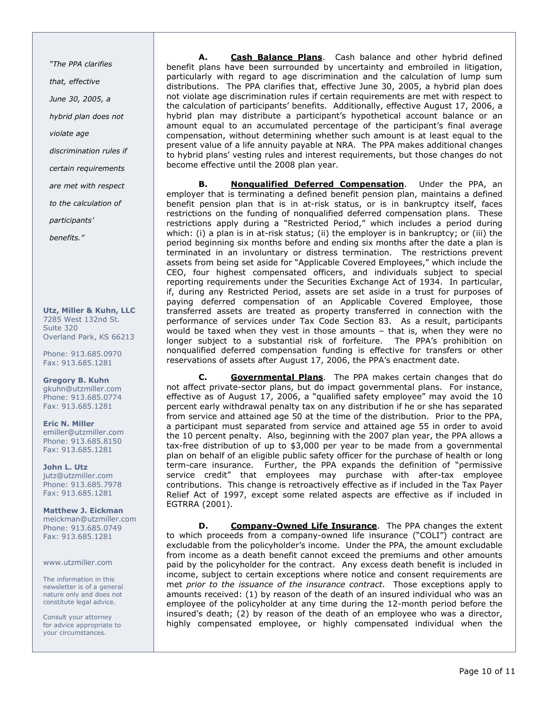"The PPA clarifies

that, effective

June 30, 2005, a

hybrid plan does not

violate age

discrimination rules if

certain requirements

are met with respect

to the calculation of

participants'

benefits."

Utz, Miller & Kuhn, LLC 7285 West 132nd St. Suite 320 Overland Park, KS 66213

Phone: 913.685.0970 Fax: 913.685.1281

Gregory B. Kuhn gkuhn@utzmiller.com Phone: 913.685.0774 Fax: 913.685.1281

Eric N. Miller emiller@utzmiller.com Phone: 913.685.8150 Fax: 913.685.1281

John L. Utz jutz@utzmiller.com Phone: 913.685.7978 Fax: 913.685.1281

Matthew J. Eickman meickman@utzmiller.com Phone: 913.685.0749 Fax: 913.685.1281

www.utzmiller.com

The information in this newsletter is of a general nature only and does not constitute legal advice.

Consult your attorney for advice appropriate to your circumstances.

A. Cash Balance Plans. Cash balance and other hybrid defined benefit plans have been surrounded by uncertainty and embroiled in litigation, particularly with regard to age discrimination and the calculation of lump sum distributions. The PPA clarifies that, effective June 30, 2005, a hybrid plan does not violate age discrimination rules if certain requirements are met with respect to the calculation of participants' benefits. Additionally, effective August 17, 2006, a hybrid plan may distribute a participant's hypothetical account balance or an amount equal to an accumulated percentage of the participant's final average compensation, without determining whether such amount is at least equal to the present value of a life annuity payable at NRA. The PPA makes additional changes to hybrid plans' vesting rules and interest requirements, but those changes do not become effective until the 2008 plan year.

B. Nonqualified Deferred Compensation. Under the PPA, an employer that is terminating a defined benefit pension plan, maintains a defined benefit pension plan that is in at-risk status, or is in bankruptcy itself, faces restrictions on the funding of nonqualified deferred compensation plans. These restrictions apply during a "Restricted Period," which includes a period during which: (i) a plan is in at-risk status; (ii) the employer is in bankruptcy; or (iii) the period beginning six months before and ending six months after the date a plan is terminated in an involuntary or distress termination. The restrictions prevent assets from being set aside for "Applicable Covered Employees," which include the CEO, four highest compensated officers, and individuals subject to special reporting requirements under the Securities Exchange Act of 1934. In particular, if, during any Restricted Period, assets are set aside in a trust for purposes of paying deferred compensation of an Applicable Covered Employee, those transferred assets are treated as property transferred in connection with the performance of services under Tax Code Section 83. As a result, participants would be taxed when they vest in those amounts – that is, when they were no longer subject to a substantial risk of forfeiture. The PPA's prohibition on nonqualified deferred compensation funding is effective for transfers or other reservations of assets after August 17, 2006, the PPA's enactment date.

C. Governmental Plans. The PPA makes certain changes that do not affect private-sector plans, but do impact governmental plans. For instance, effective as of August 17, 2006, a "qualified safety employee" may avoid the 10 percent early withdrawal penalty tax on any distribution if he or she has separated from service and attained age 50 at the time of the distribution. Prior to the PPA, a participant must separated from service and attained age 55 in order to avoid the 10 percent penalty. Also, beginning with the 2007 plan year, the PPA allows a tax-free distribution of up to \$3,000 per year to be made from a governmental plan on behalf of an eligible public safety officer for the purchase of health or long term-care insurance. Further, the PPA expands the definition of "permissive service credit" that employees may purchase with after-tax employee contributions. This change is retroactively effective as if included in the Tax Payer Relief Act of 1997, except some related aspects are effective as if included in EGTRRA (2001).

D. Company-Owned Life Insurance. The PPA changes the extent to which proceeds from a company-owned life insurance ("COLI") contract are excludable from the policyholder's income. Under the PPA, the amount excludable from income as a death benefit cannot exceed the premiums and other amounts paid by the policyholder for the contract. Any excess death benefit is included in income, subject to certain exceptions where notice and consent requirements are met prior to the issuance of the insurance contract. Those exceptions apply to amounts received: (1) by reason of the death of an insured individual who was an employee of the policyholder at any time during the 12-month period before the insured's death; (2) by reason of the death of an employee who was a director, highly compensated employee, or highly compensated individual when the